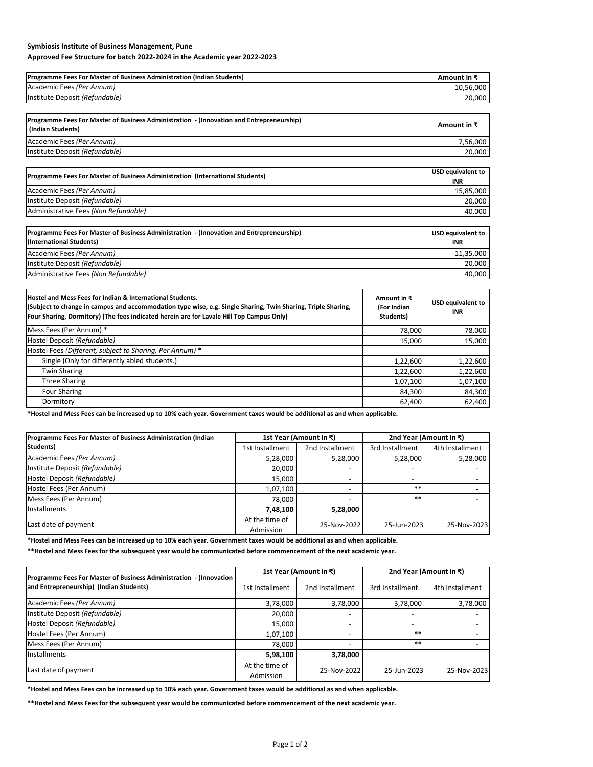## **Symbiosis Institute of Business Management, Pune**

## **Approved Fee Structure for batch 2022-2024 in the Academic year 2022-2023**

| Amount in ₹ |
|-------------|
| 10.56.000   |
| 20,000      |
|             |

| Programme Fees For Master of Business Administration - (Innovation and Entrepreneurship)<br>(Indian Students) | Amount in ₹ |
|---------------------------------------------------------------------------------------------------------------|-------------|
| Academic Fees (Per Annum)                                                                                     | 7.56.000    |
| Institute Deposit (Refundable)                                                                                | 20.000      |

| (Programme Fees For Master of Business Administration (International Students) | USD equivalent to<br><b>INR</b> |
|--------------------------------------------------------------------------------|---------------------------------|
| Academic Fees (Per Annum)                                                      | 15,85,000                       |
| Institute Deposit (Refundable)                                                 | 20.000                          |
| Administrative Fees (Non Refundable)                                           | 40.000                          |

| Programme Fees For Master of Business Administration - (Innovation and Entrepreneurship)<br>(International Students) | <b>USD equivalent to</b><br><b>INR</b> |
|----------------------------------------------------------------------------------------------------------------------|----------------------------------------|
| Academic Fees (Per Annum)                                                                                            | 11,35,000                              |
| Institute Deposit (Refundable)                                                                                       | 20.000                                 |
| Administrative Fees (Non Refundable)                                                                                 | 40.000                                 |

| Hostel and Mess Fees for Indian & International Students.<br>(Subject to change in campus and accommodation type wise, e.g. Single Sharing, Twin Sharing, Triple Sharing,<br>Four Sharing, Dormitory) (The fees indicated herein are for Lavale Hill Top Campus Only) | Amount in $\bar{x}$<br>(For Indian<br>Students) | <b>USD equivalent to</b><br>INR. |
|-----------------------------------------------------------------------------------------------------------------------------------------------------------------------------------------------------------------------------------------------------------------------|-------------------------------------------------|----------------------------------|
| Mess Fees (Per Annum) *                                                                                                                                                                                                                                               | 78,000                                          | 78,000                           |
| Hostel Deposit (Refundable)                                                                                                                                                                                                                                           | 15,000                                          | 15,000                           |
| Hostel Fees (Different, subject to Sharing, Per Annum) *                                                                                                                                                                                                              |                                                 |                                  |
| Single (Only for differently abled students.)                                                                                                                                                                                                                         | 1,22,600                                        | 1,22,600                         |
| <b>Twin Sharing</b>                                                                                                                                                                                                                                                   | 1,22,600                                        | 1,22,600                         |
| <b>Three Sharing</b>                                                                                                                                                                                                                                                  | 1,07,100                                        | 1,07,100                         |
| Four Sharing                                                                                                                                                                                                                                                          | 84,300                                          | 84,300                           |
| Dormitory                                                                                                                                                                                                                                                             | 62,400                                          | 62.400                           |

**\*Hostel and Mess Fees can be increased up to 10% each year. Government taxes would be additional as and when applicable.**

| Programme Fees For Master of Business Administration (Indian | 1st Year (Amount in ₹)      |                          |                          | 2nd Year (Amount in ₹) |  |  |  |
|--------------------------------------------------------------|-----------------------------|--------------------------|--------------------------|------------------------|--|--|--|
| Students)                                                    | 1st Installment             | 2nd Installment          | 3rd Installment          | 4th Installment        |  |  |  |
| Academic Fees (Per Annum)                                    | 5,28,000                    | 5,28,000                 | 5,28,000                 | 5,28,000               |  |  |  |
| Institute Deposit (Refundable)                               | 20,000                      | $\overline{\phantom{a}}$ | $\overline{\phantom{0}}$ |                        |  |  |  |
| Hostel Deposit (Refundable)                                  | 15,000                      | $\overline{\phantom{a}}$ | $\overline{\phantom{0}}$ |                        |  |  |  |
| Hostel Fees (Per Annum)                                      | 1,07,100                    | $\overline{\phantom{a}}$ | $***$                    |                        |  |  |  |
| Mess Fees (Per Annum)                                        | 78,000                      | $\overline{\phantom{a}}$ | $***$                    |                        |  |  |  |
| <b>Installments</b>                                          | 7,48,100                    | 5,28,000                 |                          |                        |  |  |  |
| Last date of payment                                         | At the time of<br>Admission | 25-Nov-2022              | 25-Jun-2023              | 25-Nov-2023            |  |  |  |

**\*Hostel and Mess Fees can be increased up to 10% each year. Government taxes would be additional as and when applicable.**

**\*\*Hostel and Mess Fees for the subsequent year would be communicated before commencement of the next academic year.**

| Programme Fees For Master of Business Administration - (Innovation  <br>and Entrepreneurship) (Indian Students) |                             | 1st Year (Amount in ₹)   | 2nd Year (Amount in $\bar{x}$ ) |                 |  |
|-----------------------------------------------------------------------------------------------------------------|-----------------------------|--------------------------|---------------------------------|-----------------|--|
|                                                                                                                 | 1st Installment             | 2nd Installment          | 3rd Installment                 | 4th Installment |  |
| Academic Fees (Per Annum)                                                                                       | 3,78,000                    | 3,78,000                 | 3,78,000                        | 3,78,000        |  |
| Institute Deposit (Refundable)                                                                                  | 20,000                      | $\overline{\phantom{a}}$ | $\overline{\phantom{a}}$        |                 |  |
| Hostel Deposit (Refundable)                                                                                     | 15,000                      | $\overline{\phantom{a}}$ | $\overline{\phantom{0}}$        |                 |  |
| Hostel Fees (Per Annum)                                                                                         | 1,07,100                    | $\overline{\phantom{a}}$ | $***$                           |                 |  |
| Mess Fees (Per Annum)                                                                                           | 78,000                      | -                        | $***$                           |                 |  |
| Installments                                                                                                    | 5,98,100                    | 3,78,000                 |                                 |                 |  |
| Last date of payment                                                                                            | At the time of<br>Admission | 25-Nov-2022              | 25-Jun-2023                     | 25-Nov-2023     |  |

**\*Hostel and Mess Fees can be increased up to 10% each year. Government taxes would be additional as and when applicable.**

**\*\*Hostel and Mess Fees for the subsequent year would be communicated before commencement of the next academic year.**